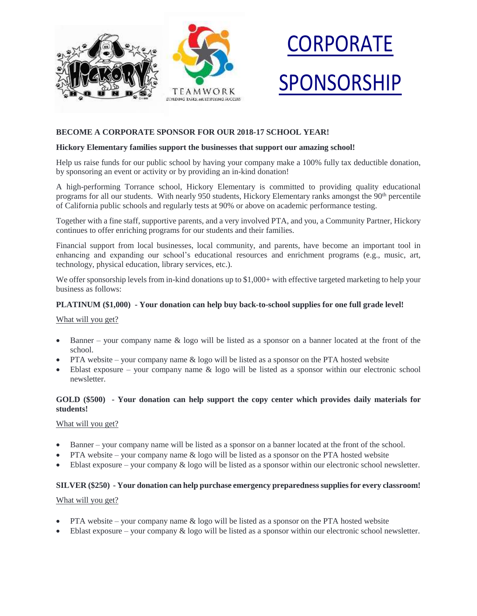



# **BECOME A CORPORATE SPONSOR FOR OUR 2018-17 SCHOOL YEAR!**

### **Hickory Elementary families support the businesses that support our amazing school!**

Help us raise funds for our public school by having your company make a 100% fully tax deductible donation, by sponsoring an event or activity or by providing an in-kind donation!

A high-performing Torrance school, Hickory Elementary is committed to providing quality educational programs for all our students. With nearly 950 students, Hickory Elementary ranks amongst the 90<sup>th</sup> percentile of California public schools and regularly tests at 90% or above on academic performance testing.

Together with a fine staff, supportive parents, and a very involved PTA, and you, a Community Partner, Hickory continues to offer enriching programs for our students and their families.

Financial support from local businesses, local community, and parents, have become an important tool in enhancing and expanding our school's educational resources and enrichment programs (e.g., music, art, technology, physical education, library services, etc.).

We offer sponsorship levels from in-kind donations up to \$1,000+ with effective targeted marketing to help your business as follows:

### **PLATINUM (\$1,000) - Your donation can help buy back-to-school supplies for one full grade level!**

#### What will you get?

- Banner your company name & logo will be listed as a sponsor on a banner located at the front of the school.
- PTA website your company name  $\&$  logo will be listed as a sponsor on the PTA hosted website
- Eblast exposure your company name  $\&$  logo will be listed as a sponsor within our electronic school newsletter.

# **GOLD (\$500) - Your donation can help support the copy center which provides daily materials for students!**

## What will you get?

- Banner your company name will be listed as a sponsor on a banner located at the front of the school.
- PTA website your company name  $\&$  logo will be listed as a sponsor on the PTA hosted website
- $\bullet$  Eblast exposure your company  $\&$  logo will be listed as a sponsor within our electronic school newsletter.

## **SILVER (\$250) - Your donation can help purchase emergency preparedness supplies for every classroom!**

## What will you get?

- PTA website your company name & logo will be listed as a sponsor on the PTA hosted website
- Eblast exposure your company & logo will be listed as a sponsor within our electronic school newsletter.